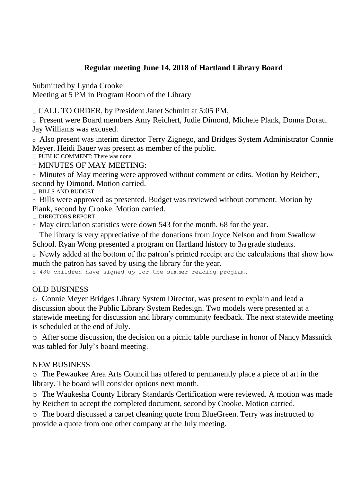## **Regular meeting June 14, 2018 of Hartland Library Board**

Submitted by Lynda Crooke

Meeting at 5 PM in Program Room of the Library

□ CALL TO ORDER, by President Janet Schmitt at 5:05 PM,

o Present were Board members Amy Reichert, Judie Dimond, Michele Plank, Donna Dorau. Jay Williams was excused.

o Also present was interim director Terry Zignego, and Bridges System Administrator Connie Meyer. Heidi Bauer was present as member of the public.

**PUBLIC COMMENT: There was none.** 

MINUTES OF MAY MEETING:

o Minutes of May meeting were approved without comment or edits. Motion by Reichert, second by Dimond. Motion carried.

BILLS AND BUDGET:

o Bills were approved as presented. Budget was reviewed without comment. Motion by Plank, second by Crooke. Motion carried.

DIRECTORS REPORT:

o May circulation statistics were down 543 for the month, 68 for the year.

o The library is very appreciative of the donations from Joyce Nelson and from Swallow

School. Ryan Wong presented a program on Hartland history to 3rd grade students.

o Newly added at the bottom of the patron's printed receipt are the calculations that show how much the patron has saved by using the library for the year.

o 480 children have signed up for the summer reading program.

## OLD BUSINESS

o Connie Meyer Bridges Library System Director, was present to explain and lead a discussion about the Public Library System Redesign. Two models were presented at a statewide meeting for discussion and library community feedback. The next statewide meeting is scheduled at the end of July.

o After some discussion, the decision on a picnic table purchase in honor of Nancy Massnick was tabled for July's board meeting.

## NEW BUSINESS

o The Pewaukee Area Arts Council has offered to permanently place a piece of art in the library. The board will consider options next month.

o The Waukesha County Library Standards Certification were reviewed. A motion was made

by Reichert to accept the completed document, second by Crooke. Motion carried.

o The board discussed a carpet cleaning quote from BlueGreen. Terry was instructed to provide a quote from one other company at the July meeting.